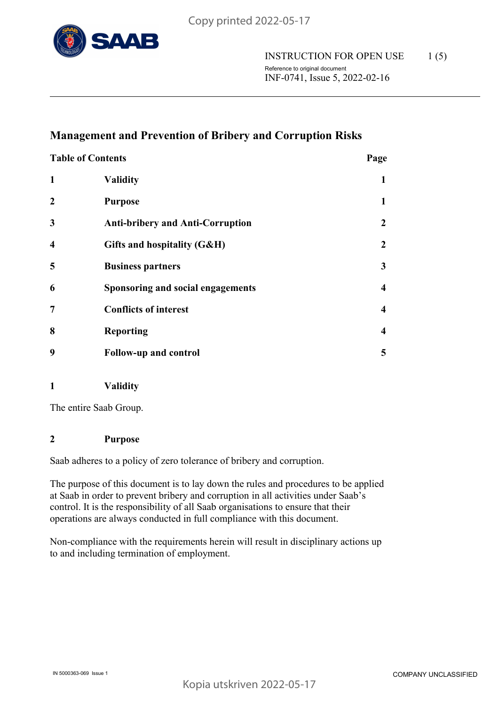

# **Management and Prevention of Bribery and Corruption Risks**

| <b>Table of Contents</b> |                                         | Page |
|--------------------------|-----------------------------------------|------|
| $\mathbf{1}$             | <b>Validity</b>                         | 1    |
| $\overline{2}$           | <b>Purpose</b>                          | 1    |
| 3                        | <b>Anti-bribery and Anti-Corruption</b> | 2    |
| $\overline{\mathbf{4}}$  | Gifts and hospitality (G&H)             | 2    |
| 5                        | <b>Business partners</b>                | 3    |
| 6                        | Sponsoring and social engagements       | 4    |
| $\overline{7}$           | <b>Conflicts of interest</b>            | 4    |
| 8                        | <b>Reporting</b>                        | 4    |
| 9                        | <b>Follow-up and control</b>            | 5    |

**1 Validity**

The entire Saab Group.

## **2 Purpose**

Saab adheres to a policy of zero tolerance of bribery and corruption.

The purpose of this document is to lay down the rules and procedures to be applied at Saab in order to prevent bribery and corruption in all activities under Saab's control. It is the responsibility of all Saab organisations to ensure that their operations are always conducted in full compliance with this document.

Non-compliance with the requirements herein will result in disciplinary actions up to and including termination of employment.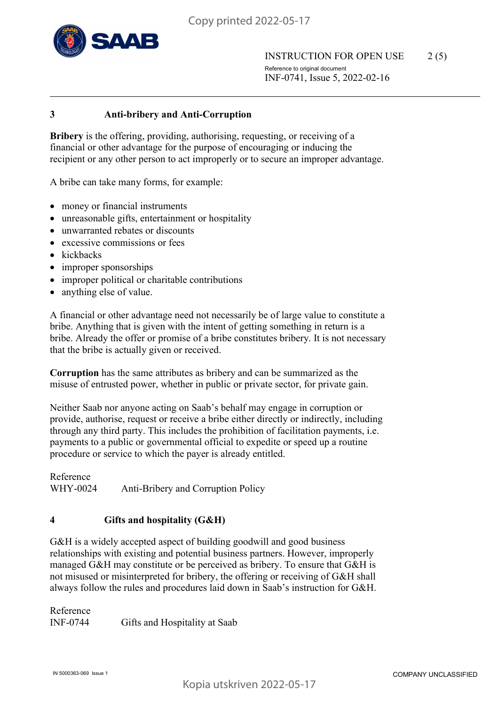

## **3 Anti-bribery and Anti-Corruption**

**Bribery** is the offering, providing, authorising, requesting, or receiving of a financial or other advantage for the purpose of encouraging or inducing the recipient or any other person to act improperly or to secure an improper advantage.

A bribe can take many forms, for example:

- money or financial instruments
- unreasonable gifts, entertainment or hospitality
- unwarranted rebates or discounts
- excessive commissions or fees
- kickbacks
- improper sponsorships
- improper political or charitable contributions
- anything else of value.

A financial or other advantage need not necessarily be of large value to constitute a bribe. Anything that is given with the intent of getting something in return is a bribe. Already the offer or promise of a bribe constitutes bribery. It is not necessary that the bribe is actually given or received.

**Corruption** has the same attributes as bribery and can be summarized as the misuse of entrusted power, whether in public or private sector, for private gain.

Neither Saab nor anyone acting on Saab's behalf may engage in corruption or provide, authorise, request or receive a bribe either directly or indirectly, including through any third party. This includes the prohibition of facilitation payments, i.e. payments to a public or governmental official to expedite or speed up a routine procedure or service to which the payer is already entitled.

Reference WHY-0024 Anti-Bribery and Corruption Policy

# **4 Gifts and hospitality (G&H)**

G&H is a widely accepted aspect of building goodwill and good business relationships with existing and potential business partners. However, improperly managed G&H may constitute or be perceived as bribery. To ensure that G&H is not misused or misinterpreted for bribery, the offering or receiving of G&H shall always follow the rules and procedures laid down in Saab's instruction for G&H.

Reference INF-0744 Gifts and Hospitality at Saab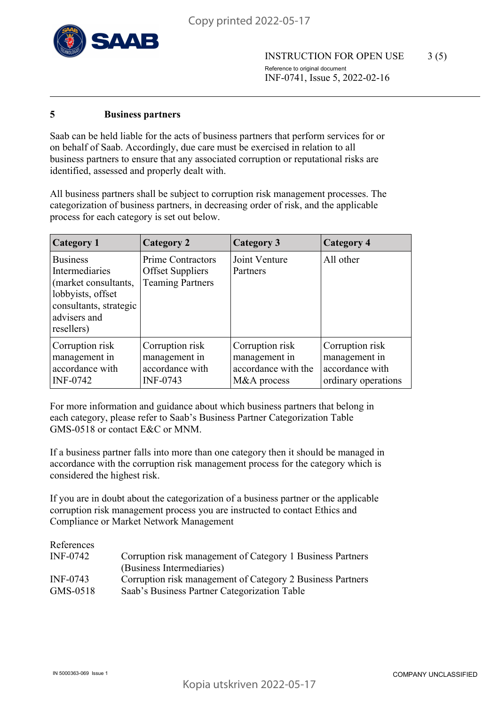

#### **5 Business partners**

Saab can be held liable for the acts of business partners that perform services for or on behalf of Saab. Accordingly, due care must be exercised in relation to all business partners to ensure that any associated corruption or reputational risks are identified, assessed and properly dealt with.

All business partners shall be subject to corruption risk management processes. The categorization of business partners, in decreasing order of risk, and the applicable process for each category is set out below.

| <b>Category 1</b>                                                                                                                      | <b>Category 2</b>                                                              | <b>Category 3</b>                                                      | Category 4                                                                 |
|----------------------------------------------------------------------------------------------------------------------------------------|--------------------------------------------------------------------------------|------------------------------------------------------------------------|----------------------------------------------------------------------------|
| <b>Business</b><br>Intermediaries<br>(market consultants,<br>lobbyists, offset<br>consultants, strategic<br>advisers and<br>resellers) | <b>Prime Contractors</b><br><b>Offset Suppliers</b><br><b>Teaming Partners</b> | Joint Venture<br>Partners                                              | All other                                                                  |
| Corruption risk<br>management in<br>accordance with<br><b>INF-0742</b>                                                                 | Corruption risk<br>management in<br>accordance with<br><b>INF-0743</b>         | Corruption risk<br>management in<br>accordance with the<br>M&A process | Corruption risk<br>management in<br>accordance with<br>ordinary operations |

For more information and guidance about which business partners that belong in each category, please refer to Saab's Business Partner Categorization Table GMS-0518 or contact E&C or MNM.

If a business partner falls into more than one category then it should be managed in accordance with the corruption risk management process for the category which is considered the highest risk.

If you are in doubt about the categorization of a business partner or the applicable corruption risk management process you are instructed to contact Ethics and Compliance or Market Network Management

| References |                                                            |
|------------|------------------------------------------------------------|
| INF-0742   | Corruption risk management of Category 1 Business Partners |
|            | (Business Intermediaries)                                  |
| INF-0743   | Corruption risk management of Category 2 Business Partners |
| GMS-0518   | Saab's Business Partner Categorization Table               |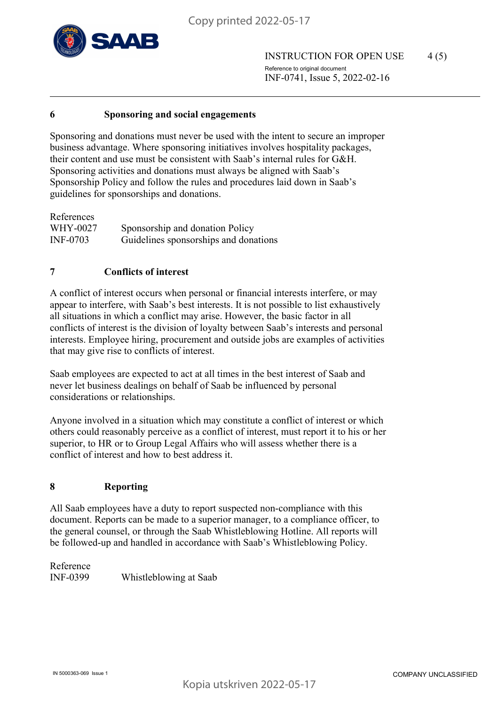

INSTRUCTION FOR OPEN USE 4(5) Reference to original document INF-0741, Issue 5, 2022-02-16

#### **6 Sponsoring and social engagements**

Sponsoring and donations must never be used with the intent to secure an improper business advantage. Where sponsoring initiatives involves hospitality packages, their content and use must be consistent with Saab's internal rules for G&H. Sponsoring activities and donations must always be aligned with Saab's Sponsorship Policy and follow the rules and procedures laid down in Saab's guidelines for sponsorships and donations.

| References      |                                       |
|-----------------|---------------------------------------|
| WHY-0027        | Sponsorship and donation Policy       |
| <b>INF-0703</b> | Guidelines sponsorships and donations |

# **7 Conflicts of interest**

A conflict of interest occurs when personal or financial interests interfere, or may appear to interfere, with Saab's best interests. It is not possible to list exhaustively all situations in which a conflict may arise. However, the basic factor in all conflicts of interest is the division of loyalty between Saab's interests and personal interests. Employee hiring, procurement and outside jobs are examples of activities that may give rise to conflicts of interest.

Saab employees are expected to act at all times in the best interest of Saab and never let business dealings on behalf of Saab be influenced by personal considerations or relationships.

Anyone involved in a situation which may constitute a conflict of interest or which others could reasonably perceive as a conflict of interest, must report it to his or her superior, to HR or to Group Legal Affairs who will assess whether there is a conflict of interest and how to best address it.

# **8 Reporting**

All Saab employees have a duty to report suspected non-compliance with this document. Reports can be made to a superior manager, to a compliance officer, to the general counsel, or through the Saab Whistleblowing Hotline. All reports will be followed-up and handled in accordance with Saab's Whistleblowing Policy.

Reference INF-0399 Whistleblowing at Saab